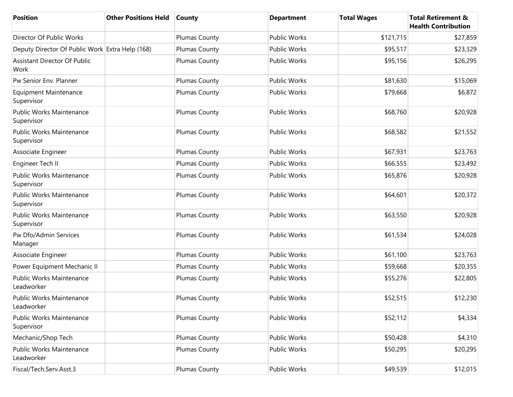| <b>Position</b>                                 | <b>Other Positions Held</b> | <b>County</b> | <b>Department</b>   | <b>Total Wages</b> | <b>Total Retirement &amp;</b><br><b>Health Contribution</b> |
|-------------------------------------------------|-----------------------------|---------------|---------------------|--------------------|-------------------------------------------------------------|
| Director Of Public Works                        |                             | Plumas County | <b>Public Works</b> | \$121,715          | \$27,859                                                    |
| Deputy Director Of Public Work Extra Help (168) |                             | Plumas County | Public Works        | \$95,517           | \$23,329                                                    |
| <b>Assistant Director Of Public</b><br>Work     |                             | Plumas County | Public Works        | \$95,156           | \$26,295                                                    |
| Pw Senior Env. Planner                          |                             | Plumas County | <b>Public Works</b> | \$81,630           | \$15,069                                                    |
| <b>Equipment Maintenance</b><br>Supervisor      |                             | Plumas County | <b>Public Works</b> | \$79,668           | \$6,872                                                     |
| <b>Public Works Maintenance</b><br>Supervisor   |                             | Plumas County | <b>Public Works</b> | \$68,760           | \$20,928                                                    |
| <b>Public Works Maintenance</b><br>Supervisor   |                             | Plumas County | Public Works        | \$68,582           | \$21,552                                                    |
| Associate Engineer                              |                             | Plumas County | <b>Public Works</b> | \$67,931           | \$23,763                                                    |
| Engineer Tech II                                |                             | Plumas County | <b>Public Works</b> | \$66,555           | \$23,492                                                    |
| <b>Public Works Maintenance</b><br>Supervisor   |                             | Plumas County | Public Works        | \$65,876           | \$20,928                                                    |
| <b>Public Works Maintenance</b><br>Supervisor   |                             | Plumas County | Public Works        | \$64,601           | \$20,372                                                    |
| <b>Public Works Maintenance</b><br>Supervisor   |                             | Plumas County | <b>Public Works</b> | \$63,550           | \$20,928                                                    |
| Pw Dfo/Admin Services<br>Manager                |                             | Plumas County | Public Works        | \$61,534           | \$24,028                                                    |
| Associate Engineer                              |                             | Plumas County | <b>Public Works</b> | \$61,100           | \$23,763                                                    |
| Power Equipment Mechanic II                     |                             | Plumas County | <b>Public Works</b> | \$59,668           | \$20,355                                                    |
| <b>Public Works Maintenance</b><br>Leadworker   |                             | Plumas County | Public Works        | \$55,276           | \$22,805                                                    |
| <b>Public Works Maintenance</b><br>Leadworker   |                             | Plumas County | <b>Public Works</b> | \$52,515           | \$12,230                                                    |
| Public Works Maintenance<br>Supervisor          |                             | Plumas County | <b>Public Works</b> | \$52,112           | \$4,334                                                     |
| Mechanic/Shop Tech                              |                             | Plumas County | <b>Public Works</b> | \$50,428           | \$4,310                                                     |
| <b>Public Works Maintenance</b><br>Leadworker   |                             | Plumas County | Public Works        | \$50,295           | \$20,295                                                    |
| Fiscal/Tech.Serv.Asst.3                         |                             | Plumas County | Public Works        | \$49,539           | \$12,015                                                    |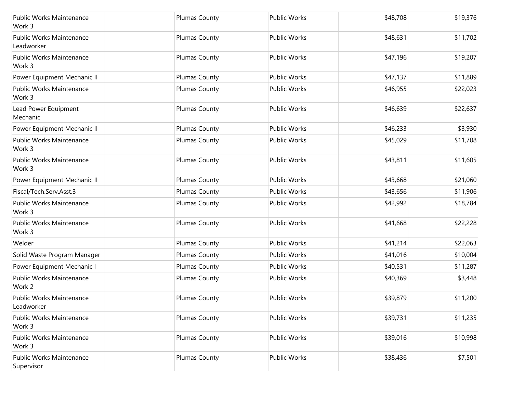| <b>Public Works Maintenance</b><br>Work 3 | Plumas County | <b>Public Works</b> | \$48,708 | \$19,376 |
|-------------------------------------------|---------------|---------------------|----------|----------|
| Public Works Maintenance<br>Leadworker    | Plumas County | <b>Public Works</b> | \$48,631 | \$11,702 |
| <b>Public Works Maintenance</b><br>Work 3 | Plumas County | <b>Public Works</b> | \$47,196 | \$19,207 |
| Power Equipment Mechanic II               | Plumas County | <b>Public Works</b> | \$47,137 | \$11,889 |
| <b>Public Works Maintenance</b><br>Work 3 | Plumas County | Public Works        | \$46,955 | \$22,023 |
| Lead Power Equipment<br>Mechanic          | Plumas County | <b>Public Works</b> | \$46,639 | \$22,637 |
| Power Equipment Mechanic II               | Plumas County | <b>Public Works</b> | \$46,233 | \$3,930  |
| Public Works Maintenance<br>Work 3        | Plumas County | Public Works        | \$45,029 | \$11,708 |
| <b>Public Works Maintenance</b><br>Work 3 | Plumas County | <b>Public Works</b> | \$43,811 | \$11,605 |
| Power Equipment Mechanic II               | Plumas County | <b>Public Works</b> | \$43,668 | \$21,060 |
| Fiscal/Tech.Serv.Asst.3                   | Plumas County | <b>Public Works</b> | \$43,656 | \$11,906 |
| <b>Public Works Maintenance</b><br>Work 3 | Plumas County | Public Works        | \$42,992 | \$18,784 |
| Public Works Maintenance<br>Work 3        | Plumas County | <b>Public Works</b> | \$41,668 | \$22,228 |
| Welder                                    | Plumas County | Public Works        | \$41,214 | \$22,063 |
| Solid Waste Program Manager               | Plumas County | Public Works        | \$41,016 | \$10,004 |
| Power Equipment Mechanic I                | Plumas County | Public Works        | \$40,531 | \$11,287 |
| Public Works Maintenance<br>Work 2        | Plumas County | Public Works        | \$40,369 | \$3,448  |
| Public Works Maintenance<br>Leadworker    | Plumas County | <b>Public Works</b> | \$39,879 | \$11,200 |
| Public Works Maintenance<br>Work 3        | Plumas County | Public Works        | \$39,731 | \$11,235 |
| Public Works Maintenance<br>Work 3        | Plumas County | <b>Public Works</b> | \$39,016 | \$10,998 |
| Public Works Maintenance<br>Supervisor    | Plumas County | <b>Public Works</b> | \$38,436 | \$7,501  |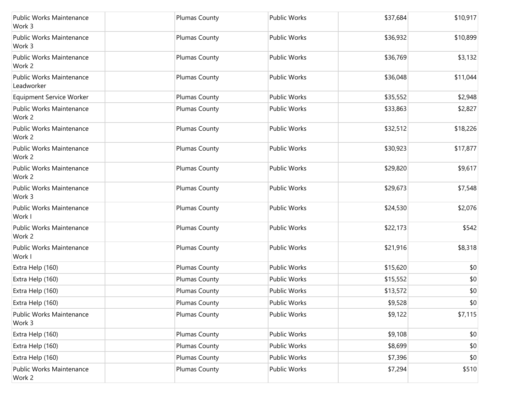| Public Works Maintenance<br>Work 3            | Plumas County        | <b>Public Works</b> | \$37,684 | \$10,917     |
|-----------------------------------------------|----------------------|---------------------|----------|--------------|
| Public Works Maintenance<br>Work 3            | Plumas County        | <b>Public Works</b> | \$36,932 | \$10,899     |
| Public Works Maintenance<br>Work 2            | Plumas County        | <b>Public Works</b> | \$36,769 | \$3,132      |
| <b>Public Works Maintenance</b><br>Leadworker | Plumas County        | <b>Public Works</b> | \$36,048 | \$11,044     |
| <b>Equipment Service Worker</b>               | Plumas County        | <b>Public Works</b> | \$35,552 | \$2,948      |
| Public Works Maintenance<br>Work 2            | Plumas County        | Public Works        | \$33,863 | \$2,827      |
| Public Works Maintenance<br>Work 2            | Plumas County        | <b>Public Works</b> | \$32,512 | \$18,226     |
| Public Works Maintenance<br>Work 2            | Plumas County        | <b>Public Works</b> | \$30,923 | \$17,877     |
| <b>Public Works Maintenance</b><br>Work 2     | <b>Plumas County</b> | <b>Public Works</b> | \$29,820 | \$9,617      |
| Public Works Maintenance<br>Work 3            | Plumas County        | <b>Public Works</b> | \$29,673 | \$7,548      |
| Public Works Maintenance<br>Work I            | Plumas County        | <b>Public Works</b> | \$24,530 | \$2,076      |
| Public Works Maintenance<br>Work 2            | Plumas County        | <b>Public Works</b> | \$22,173 | \$542        |
| Public Works Maintenance<br>Work I            | Plumas County        | <b>Public Works</b> | \$21,916 | \$8,318      |
| Extra Help (160)                              | Plumas County        | <b>Public Works</b> | \$15,620 | \$0          |
| Extra Help (160)                              | Plumas County        | <b>Public Works</b> | \$15,552 | \$0          |
| Extra Help (160)                              | Plumas County        | <b>Public Works</b> | \$13,572 | \$0          |
| Extra Help (160)                              | Plumas County        | Public Works        | \$9,528  | $ 10\rangle$ |
| Public Works Maintenance<br>Work 3            | Plumas County        | Public Works        | \$9,122  | \$7,115      |
| Extra Help (160)                              | Plumas County        | Public Works        | \$9,108  | \$0          |
| Extra Help (160)                              | Plumas County        | Public Works        | \$8,699  | \$0          |
| Extra Help (160)                              | Plumas County        | Public Works        | \$7,396  | \$0          |
| Public Works Maintenance<br>Work 2            | Plumas County        | Public Works        | \$7,294  | \$510        |